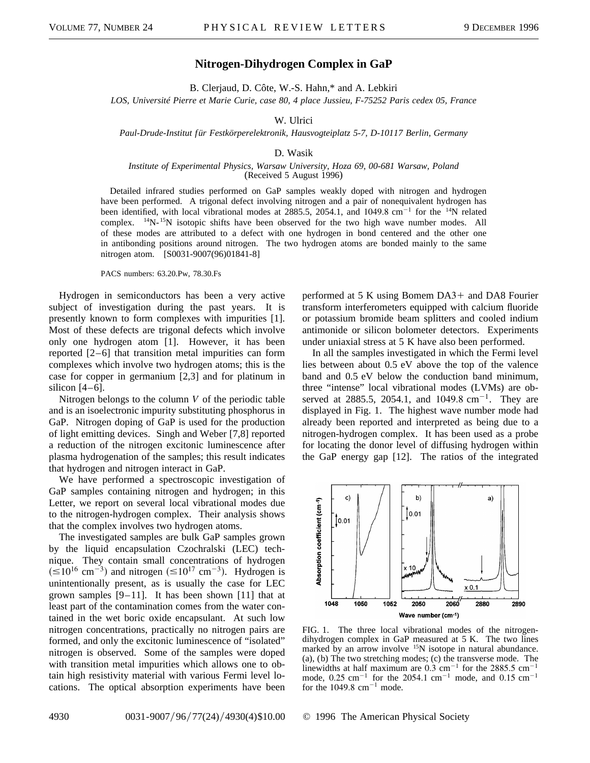## **Nitrogen-Dihydrogen Complex in GaP**

B. Clerjaud, D. Côte, W.-S. Hahn,\* and A. Lebkiri

*LOS, Université Pierre et Marie Curie, case 80, 4 place Jussieu, F-75252 Paris cedex 05, France*

## W. Ulrici

*Paul-Drude-Institut für Festkörperelektronik, Hausvogteiplatz 5-7, D-10117 Berlin, Germany*

## D. Wasik

## *Institute of Experimental Physics, Warsaw University, Hoza 69, 00-681 Warsaw, Poland* (Received 5 August 1996)

Detailed infrared studies performed on GaP samples weakly doped with nitrogen and hydrogen have been performed. A trigonal defect involving nitrogen and a pair of nonequivalent hydrogen has been identified, with local vibrational modes at  $2885.5$ ,  $2054.1$ , and  $1049.8$  cm<sup>-1</sup> for the <sup>14</sup>N related complex. <sup>14</sup>N-<sup>15</sup>N isotopic shifts have been observed for the two high wave number modes. All of these modes are attributed to a defect with one hydrogen in bond centered and the other one in antibonding positions around nitrogen. The two hydrogen atoms are bonded mainly to the same nitrogen atom. [S0031-9007(96)01841-8]

PACS numbers: 63.20.Pw, 78.30.Fs

Hydrogen in semiconductors has been a very active subject of investigation during the past years. It is presently known to form complexes with impurities [1]. Most of these defects are trigonal defects which involve only one hydrogen atom [1]. However, it has been reported [2–6] that transition metal impurities can form complexes which involve two hydrogen atoms; this is the case for copper in germanium [2,3] and for platinum in silicon  $[4-6]$ .

Nitrogen belongs to the column *V* of the periodic table and is an isoelectronic impurity substituting phosphorus in GaP. Nitrogen doping of GaP is used for the production of light emitting devices. Singh and Weber [7,8] reported a reduction of the nitrogen excitonic luminescence after plasma hydrogenation of the samples; this result indicates that hydrogen and nitrogen interact in GaP.

We have performed a spectroscopic investigation of GaP samples containing nitrogen and hydrogen; in this Letter, we report on several local vibrational modes due to the nitrogen-hydrogen complex. Their analysis shows that the complex involves two hydrogen atoms.

The investigated samples are bulk GaP samples grown by the liquid encapsulation Czochralski (LEC) technique. They contain small concentrations of hydrogen  $\approx 10^{16}$  cm<sup>-3</sup>) and nitrogen ( $\leq 10^{17}$  cm<sup>-3</sup>). Hydrogen is unintentionally present, as is usually the case for LEC grown samples  $[9-11]$ . It has been shown  $[11]$  that at least part of the contamination comes from the water contained in the wet boric oxide encapsulant. At such low nitrogen concentrations, practically no nitrogen pairs are formed, and only the excitonic luminescence of "isolated" nitrogen is observed. Some of the samples were doped with transition metal impurities which allows one to obtain high resistivity material with various Fermi level locations. The optical absorption experiments have been performed at  $5$  K using Bomem DA3+ and DA8 Fourier transform interferometers equipped with calcium fluoride or potassium bromide beam splitters and cooled indium antimonide or silicon bolometer detectors. Experiments under uniaxial stress at 5 K have also been performed.

In all the samples investigated in which the Fermi level lies between about 0.5 eV above the top of the valence band and 0.5 eV below the conduction band minimum, three "intense" local vibrational modes (LVMs) are observed at 2885.5, 2054.1, and 1049.8  $cm^{-1}$ . They are displayed in Fig. 1. The highest wave number mode had already been reported and interpreted as being due to a nitrogen-hydrogen complex. It has been used as a probe for locating the donor level of diffusing hydrogen within the GaP energy gap [12]. The ratios of the integrated



FIG. 1. The three local vibrational modes of the nitrogendihydrogen complex in GaP measured at 5 K. The two lines marked by an arrow involve  $15N$  isotope in natural abundance. (a), (b) The two stretching modes; (c) the transverse mode. The linewidths at half maximum are  $0.3 \text{ cm}^{-1}$  for the 2885.5 cm<sup>-1</sup> mode,  $0.25 \text{ cm}^{-1}$  for the 2054.1 cm<sup>-1</sup> mode, and 0.15 cm<sup>-1</sup> for the  $1049.8 \text{ cm}^{-1}$  mode.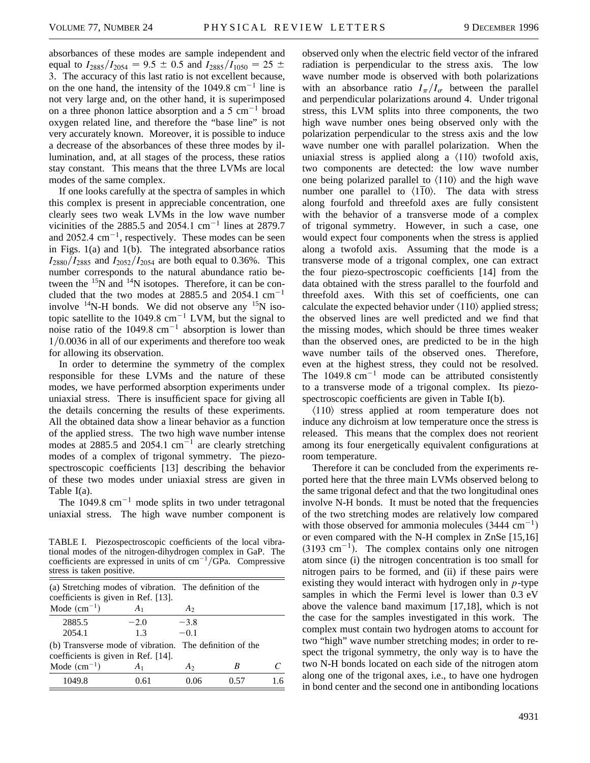absorbances of these modes are sample independent and equal to  $I_{2885}/I_{2054} = 9.5 \pm 0.5$  and  $I_{2885}/I_{1050} = 25 \pm 0.5$ 3. The accuracy of this last ratio is not excellent because, on the one hand, the intensity of the  $1049.8 \text{ cm}^{-1}$  line is not very large and, on the other hand, it is superimposed on a three phonon lattice absorption and a  $5 \text{ cm}^{-1}$  broad oxygen related line, and therefore the "base line" is not very accurately known. Moreover, it is possible to induce a decrease of the absorbances of these three modes by illumination, and, at all stages of the process, these ratios stay constant. This means that the three LVMs are local modes of the same complex.

If one looks carefully at the spectra of samples in which this complex is present in appreciable concentration, one clearly sees two weak LVMs in the low wave number vicinities of the 2885.5 and 2054.1  $cm^{-1}$  lines at 2879.7 and 2052.4  $cm^{-1}$ , respectively. These modes can be seen in Figs. 1(a) and 1(b). The integrated absorbance ratios  $I_{2880}/I_{2885}$  and  $I_{2052}/I_{2054}$  are both equal to 0.36%. This number corresponds to the natural abundance ratio between the  $15N$  and  $14N$  isotopes. Therefore, it can be concluded that the two modes at 2885.5 and 2054.1  $cm^{-1}$ involve  $^{14}$ N-H bonds. We did not observe any  $^{15}$ N isotopic satellite to the 1049.8  $cm^{-1}$  LVM, but the signal to noise ratio of the 1049.8  $cm^{-1}$  absorption is lower than  $1/0.0036$  in all of our experiments and therefore too weak for allowing its observation.

In order to determine the symmetry of the complex responsible for these LVMs and the nature of these modes, we have performed absorption experiments under uniaxial stress. There is insufficient space for giving all the details concerning the results of these experiments. All the obtained data show a linear behavior as a function of the applied stress. The two high wave number intense modes at 2885.5 and 2054.1  $cm^{-1}$  are clearly stretching modes of a complex of trigonal symmetry. The piezospectroscopic coefficients [13] describing the behavior of these two modes under uniaxial stress are given in Table I(a).

The  $1049.8 \text{ cm}^{-1}$  mode splits in two under tetragonal uniaxial stress. The high wave number component is

TABLE I. Piezospectroscopic coefficients of the local vibrational modes of the nitrogen-dihydrogen complex in GaP. The coefficients are expressed in units of  $cm^{-1}/\overline{G}Pa$ . Compressive stress is taken positive.

| (a) Stretching modes of vibration. The definition of the<br>coefficients is given in Ref. [13]. |                |                  |   |     |
|-------------------------------------------------------------------------------------------------|----------------|------------------|---|-----|
| Mode $(cm-1)$                                                                                   | $A_1$          | A <sub>2</sub>   |   |     |
| 2885.5<br>2054.1                                                                                | $-2.0$<br>1.3  | $-3.8$<br>$-0.1$ |   |     |
| (b) Transverse mode of vibration. The definition of the<br>coefficients is given in Ref. [14].  |                |                  |   |     |
| Mode $(cm-1)$                                                                                   | A <sub>1</sub> | A2               | B |     |
| 1049.8                                                                                          | 0.61           | 0 06             |   | 1 6 |

observed only when the electric field vector of the infrared radiation is perpendicular to the stress axis. The low wave number mode is observed with both polarizations with an absorbance ratio  $I_{\pi}/I_{\sigma}$  between the parallel and perpendicular polarizations around 4. Under trigonal stress, this LVM splits into three components, the two high wave number ones being observed only with the polarization perpendicular to the stress axis and the low wave number one with parallel polarization. When the uniaxial stress is applied along a  $\langle 110 \rangle$  twofold axis, two components are detected: the low wave number one being polarized parallel to  $\langle 110 \rangle$  and the high wave number one parallel to  $\langle 110 \rangle$ . The data with stress along fourfold and threefold axes are fully consistent with the behavior of a transverse mode of a complex of trigonal symmetry. However, in such a case, one would expect four components when the stress is applied along a twofold axis. Assuming that the mode is a transverse mode of a trigonal complex, one can extract the four piezo-spectroscopic coefficients [14] from the data obtained with the stress parallel to the fourfold and threefold axes. With this set of coefficients, one can calculate the expected behavior under  $\langle 110 \rangle$  applied stress; the observed lines are well predicted and we find that the missing modes, which should be three times weaker than the observed ones, are predicted to be in the high wave number tails of the observed ones. Therefore, even at the highest stress, they could not be resolved. The  $1049.8 \text{ cm}^{-1}$  mode can be attributed consistently to a transverse mode of a trigonal complex. Its piezospectroscopic coefficients are given in Table I(b).

 $\langle 110 \rangle$  stress applied at room temperature does not induce any dichroism at low temperature once the stress is released. This means that the complex does not reorient among its four energetically equivalent configurations at room temperature.

Therefore it can be concluded from the experiments reported here that the three main LVMs observed belong to the same trigonal defect and that the two longitudinal ones involve N-H bonds. It must be noted that the frequencies of the two stretching modes are relatively low compared with those observed for ammonia molecules  $(3444 \text{ cm}^{-1})$ or even compared with the N-H complex in ZnSe [15,16]  $(3193 \text{ cm}^{-1})$ . The complex contains only one nitrogen atom since (i) the nitrogen concentration is too small for nitrogen pairs to be formed, and (ii) if these pairs were existing they would interact with hydrogen only in *p*-type samples in which the Fermi level is lower than 0.3 eV above the valence band maximum [17,18], which is not the case for the samples investigated in this work. The complex must contain two hydrogen atoms to account for two "high" wave number stretching modes; in order to respect the trigonal symmetry, the only way is to have the two N-H bonds located on each side of the nitrogen atom along one of the trigonal axes, i.e., to have one hydrogen in bond center and the second one in antibonding locations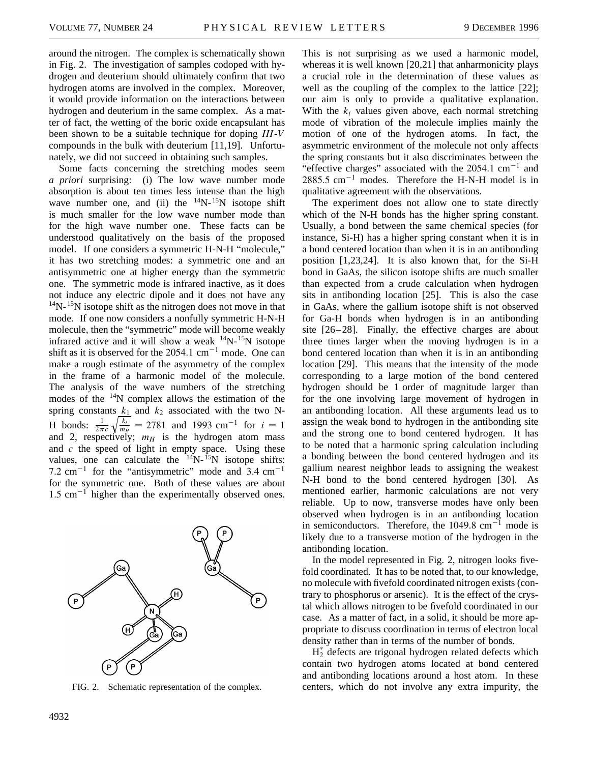around the nitrogen. The complex is schematically shown in Fig. 2. The investigation of samples codoped with hydrogen and deuterium should ultimately confirm that two hydrogen atoms are involved in the complex. Moreover, it would provide information on the interactions between hydrogen and deuterium in the same complex. As a matter of fact, the wetting of the boric oxide encapsulant has been shown to be a suitable technique for doping *III*-*V* compounds in the bulk with deuterium [11,19]. Unfortunately, we did not succeed in obtaining such samples.

Some facts concerning the stretching modes seem *a priori* surprising: (i) The low wave number mode absorption is about ten times less intense than the high wave number one, and (ii) the  $14N-15N$  isotope shift is much smaller for the low wave number mode than for the high wave number one. These facts can be understood qualitatively on the basis of the proposed model. If one considers a symmetric H-N-H "molecule," it has two stretching modes: a symmetric one and an antisymmetric one at higher energy than the symmetric one. The symmetric mode is infrared inactive, as it does not induce any electric dipole and it does not have any  $14$ N- $15$ N isotope shift as the nitrogen does not move in that mode. If one now considers a nonfully symmetric H-N-H molecule, then the "symmetric" mode will become weakly infrared active and it will show a weak  $14N-15N$  isotope shift as it is observed for the  $2054.1 \text{ cm}^{-1}$  mode. One can make a rough estimate of the asymmetry of the complex in the frame of a harmonic model of the molecule. The analysis of the wave numbers of the stretching modes of the  $14N$  complex allows the estimation of the spring constants  $k_1$  and  $k_2$  associated with the two N-H bonds:  $\frac{1}{2\pi c}$  $\frac{\kappa}{\sqrt{k_i}}$  $\frac{k_i}{m_H}$  = 2781 and 1993 cm<sup>-1</sup> for  $i = 1$ and 2, respectively;  $m_H$  is the hydrogen atom mass and *c* the speed of light in empty space. Using these values, one can calculate the  $14N$ -  $15N$  isotope shifts: 7.2 cm<sup>-1</sup> for the "antisymmetric" mode and  $3.4 \text{ cm}^{-1}$ for the symmetric one. Both of these values are about  $1.5 \text{ cm}^{-1}$  higher than the experimentally observed ones.



FIG. 2. Schematic representation of the complex.

This is not surprising as we used a harmonic model, whereas it is well known [20,21] that anharmonicity plays a crucial role in the determination of these values as well as the coupling of the complex to the lattice [22]; our aim is only to provide a qualitative explanation. With the  $k_i$  values given above, each normal stretching mode of vibration of the molecule implies mainly the motion of one of the hydrogen atoms. In fact, the asymmetric environment of the molecule not only affects the spring constants but it also discriminates between the "effective charges" associated with the  $2054.1 \text{ cm}^{-1}$  and  $2885.5$  cm<sup>-1</sup> modes. Therefore the H-N-H model is in qualitative agreement with the observations.

The experiment does not allow one to state directly which of the N-H bonds has the higher spring constant. Usually, a bond between the same chemical species (for instance, Si-H) has a higher spring constant when it is in a bond centered location than when it is in an antibonding position [1,23,24]. It is also known that, for the Si-H bond in GaAs, the silicon isotope shifts are much smaller than expected from a crude calculation when hydrogen sits in antibonding location [25]. This is also the case in GaAs, where the gallium isotope shift is not observed for Ga-H bonds when hydrogen is in an antibonding site [26–28]. Finally, the effective charges are about three times larger when the moving hydrogen is in a bond centered location than when it is in an antibonding location [29]. This means that the intensity of the mode corresponding to a large motion of the bond centered hydrogen should be 1 order of magnitude larger than for the one involving large movement of hydrogen in an antibonding location. All these arguments lead us to assign the weak bond to hydrogen in the antibonding site and the strong one to bond centered hydrogen. It has to be noted that a harmonic spring calculation including a bonding between the bond centered hydrogen and its gallium nearest neighbor leads to assigning the weakest N-H bond to the bond centered hydrogen [30]. As mentioned earlier, harmonic calculations are not very reliable. Up to now, transverse modes have only been observed when hydrogen is in an antibonding location in semiconductors. Therefore, the  $1049.8 \text{ cm}^{-1}$  mode is likely due to a transverse motion of the hydrogen in the antibonding location.

In the model represented in Fig. 2, nitrogen looks fivefold coordinated. It has to be noted that, to our knowledge, no molecule with fivefold coordinated nitrogen exists (contrary to phosphorus or arsenic). It is the effect of the crystal which allows nitrogen to be fivefold coordinated in our case. As a matter of fact, in a solid, it should be more appropriate to discuss coordination in terms of electron local density rather than in terms of the number of bonds.

 $H_2^*$  defects are trigonal hydrogen related defects which contain two hydrogen atoms located at bond centered and antibonding locations around a host atom. In these centers, which do not involve any extra impurity, the